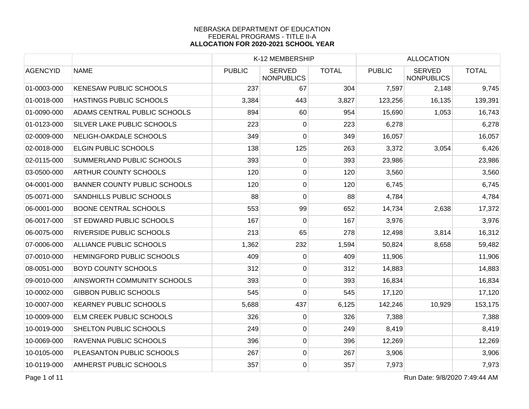|                 |                                     |               | K-12 MEMBERSHIP                    |              |               | <b>ALLOCATION</b>                  |              |
|-----------------|-------------------------------------|---------------|------------------------------------|--------------|---------------|------------------------------------|--------------|
| <b>AGENCYID</b> | <b>NAME</b>                         | <b>PUBLIC</b> | <b>SERVED</b><br><b>NONPUBLICS</b> | <b>TOTAL</b> | <b>PUBLIC</b> | <b>SERVED</b><br><b>NONPUBLICS</b> | <b>TOTAL</b> |
| 01-0003-000     | <b>KENESAW PUBLIC SCHOOLS</b>       | 237           | 67                                 | 304          | 7,597         | 2,148                              | 9,745        |
| 01-0018-000     | <b>HASTINGS PUBLIC SCHOOLS</b>      | 3,384         | 443                                | 3,827        | 123,256       | 16,135                             | 139,391      |
| 01-0090-000     | ADAMS CENTRAL PUBLIC SCHOOLS        | 894           | 60                                 | 954          | 15,690        | 1,053                              | 16,743       |
| 01-0123-000     | <b>SILVER LAKE PUBLIC SCHOOLS</b>   | 223           | 0                                  | 223          | 6,278         |                                    | 6,278        |
| 02-0009-000     | NELIGH-OAKDALE SCHOOLS              | 349           | 0                                  | 349          | 16,057        |                                    | 16,057       |
| 02-0018-000     | <b>ELGIN PUBLIC SCHOOLS</b>         | 138           | 125                                | 263          | 3,372         | 3,054                              | 6,426        |
| 02-0115-000     | <b>SUMMERLAND PUBLIC SCHOOLS</b>    | 393           | 0                                  | 393          | 23,986        |                                    | 23,986       |
| 03-0500-000     | <b>ARTHUR COUNTY SCHOOLS</b>        | 120           | 0                                  | 120          | 3,560         |                                    | 3,560        |
| 04-0001-000     | <b>BANNER COUNTY PUBLIC SCHOOLS</b> | 120           | 0                                  | 120          | 6,745         |                                    | 6,745        |
| 05-0071-000     | <b>SANDHILLS PUBLIC SCHOOLS</b>     | 88            | 0                                  | 88           | 4,784         |                                    | 4,784        |
| 06-0001-000     | <b>BOONE CENTRAL SCHOOLS</b>        | 553           | 99                                 | 652          | 14,734        | 2,638                              | 17,372       |
| 06-0017-000     | <b>ST EDWARD PUBLIC SCHOOLS</b>     | 167           | 0                                  | 167          | 3,976         |                                    | 3,976        |
| 06-0075-000     | <b>RIVERSIDE PUBLIC SCHOOLS</b>     | 213           | 65                                 | 278          | 12,498        | 3,814                              | 16,312       |
| 07-0006-000     | ALLIANCE PUBLIC SCHOOLS             | 1,362         | 232                                | 1,594        | 50,824        | 8,658                              | 59,482       |
| 07-0010-000     | HEMINGFORD PUBLIC SCHOOLS           | 409           | $\overline{0}$                     | 409          | 11,906        |                                    | 11,906       |
| 08-0051-000     | <b>BOYD COUNTY SCHOOLS</b>          | 312           | 0                                  | 312          | 14,883        |                                    | 14,883       |
| 09-0010-000     | AINSWORTH COMMUNITY SCHOOLS         | 393           | 0                                  | 393          | 16,834        |                                    | 16,834       |
| 10-0002-000     | <b>GIBBON PUBLIC SCHOOLS</b>        | 545           | $\overline{0}$                     | 545          | 17,120        |                                    | 17,120       |
| 10-0007-000     | <b>KEARNEY PUBLIC SCHOOLS</b>       | 5,688         | 437                                | 6,125        | 142,246       | 10,929                             | 153,175      |
| 10-0009-000     | <b>ELM CREEK PUBLIC SCHOOLS</b>     | 326           | 0                                  | 326          | 7,388         |                                    | 7,388        |
| 10-0019-000     | <b>SHELTON PUBLIC SCHOOLS</b>       | 249           | 0                                  | 249          | 8,419         |                                    | 8,419        |
| 10-0069-000     | <b>RAVENNA PUBLIC SCHOOLS</b>       | 396           | 0                                  | 396          | 12,269        |                                    | 12,269       |
| 10-0105-000     | PLEASANTON PUBLIC SCHOOLS           | 267           | 0                                  | 267          | 3,906         |                                    | 3,906        |
| 10-0119-000     | <b>AMHERST PUBLIC SCHOOLS</b>       | 357           | $\overline{0}$                     | 357          | 7,973         |                                    | 7,973        |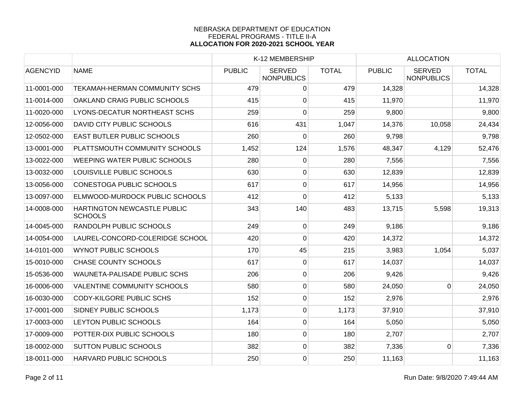|                 |                                               |               | K-12 MEMBERSHIP                    |              |               | <b>ALLOCATION</b>                  |              |
|-----------------|-----------------------------------------------|---------------|------------------------------------|--------------|---------------|------------------------------------|--------------|
| <b>AGENCYID</b> | <b>NAME</b>                                   | <b>PUBLIC</b> | <b>SERVED</b><br><b>NONPUBLICS</b> | <b>TOTAL</b> | <b>PUBLIC</b> | <b>SERVED</b><br><b>NONPUBLICS</b> | <b>TOTAL</b> |
| 11-0001-000     | <b>TEKAMAH-HERMAN COMMUNITY SCHS</b>          | 479           | 0                                  | 479          | 14,328        |                                    | 14,328       |
| 11-0014-000     | OAKLAND CRAIG PUBLIC SCHOOLS                  | 415           | 0                                  | 415          | 11,970        |                                    | 11,970       |
| 11-0020-000     | LYONS-DECATUR NORTHEAST SCHS                  | 259           | 0                                  | 259          | 9,800         |                                    | 9,800        |
| 12-0056-000     | <b>DAVID CITY PUBLIC SCHOOLS</b>              | 616           | 431                                | 1,047        | 14,376        | 10,058                             | 24,434       |
| 12-0502-000     | <b>EAST BUTLER PUBLIC SCHOOLS</b>             | 260           | 0                                  | 260          | 9,798         |                                    | 9,798        |
| 13-0001-000     | PLATTSMOUTH COMMUNITY SCHOOLS                 | 1,452         | 124                                | 1,576        | 48,347        | 4,129                              | 52,476       |
| 13-0022-000     | <b>WEEPING WATER PUBLIC SCHOOLS</b>           | 280           | $\overline{0}$                     | 280          | 7,556         |                                    | 7,556        |
| 13-0032-000     | LOUISVILLE PUBLIC SCHOOLS                     | 630           | $\overline{0}$                     | 630          | 12,839        |                                    | 12,839       |
| 13-0056-000     | <b>CONESTOGA PUBLIC SCHOOLS</b>               | 617           | $\overline{0}$                     | 617          | 14,956        |                                    | 14,956       |
| 13-0097-000     | ELMWOOD-MURDOCK PUBLIC SCHOOLS                | 412           | 0                                  | 412          | 5,133         |                                    | 5,133        |
| 14-0008-000     | HARTINGTON NEWCASTLE PUBLIC<br><b>SCHOOLS</b> | 343           | 140                                | 483          | 13,715        | 5,598                              | 19,313       |
| 14-0045-000     | <b>RANDOLPH PUBLIC SCHOOLS</b>                | 249           | $\overline{0}$                     | 249          | 9,186         |                                    | 9,186        |
| 14-0054-000     | LAUREL-CONCORD-COLERIDGE SCHOOL               | 420           | $\mathbf 0$                        | 420          | 14,372        |                                    | 14,372       |
| 14-0101-000     | <b>WYNOT PUBLIC SCHOOLS</b>                   | 170           | 45                                 | 215          | 3,983         | 1,054                              | 5,037        |
| 15-0010-000     | <b>CHASE COUNTY SCHOOLS</b>                   | 617           | $\overline{0}$                     | 617          | 14,037        |                                    | 14,037       |
| 15-0536-000     | <b>WAUNETA-PALISADE PUBLIC SCHS</b>           | 206           | $\overline{0}$                     | 206          | 9,426         |                                    | 9,426        |
| 16-0006-000     | <b>VALENTINE COMMUNITY SCHOOLS</b>            | 580           | $\overline{0}$                     | 580          | 24,050        | $\Omega$                           | 24,050       |
| 16-0030-000     | <b>CODY-KILGORE PUBLIC SCHS</b>               | 152           | $\overline{0}$                     | 152          | 2,976         |                                    | 2,976        |
| 17-0001-000     | <b>SIDNEY PUBLIC SCHOOLS</b>                  | 1,173         | $\overline{0}$                     | 1,173        | 37,910        |                                    | 37,910       |
| 17-0003-000     | LEYTON PUBLIC SCHOOLS                         | 164           | $\overline{0}$                     | 164          | 5,050         |                                    | 5,050        |
| 17-0009-000     | POTTER-DIX PUBLIC SCHOOLS                     | 180           | $\overline{0}$                     | 180          | 2,707         |                                    | 2,707        |
| 18-0002-000     | <b>SUTTON PUBLIC SCHOOLS</b>                  | 382           | $\overline{0}$                     | 382          | 7,336         | $\Omega$                           | 7,336        |
| 18-0011-000     | HARVARD PUBLIC SCHOOLS                        | 250           | 0                                  | 250          | 11,163        |                                    | 11,163       |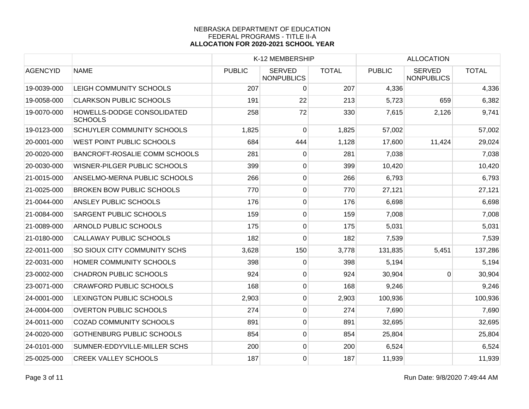|                 |                                              |               | K-12 MEMBERSHIP                    |              |               | <b>ALLOCATION</b>                  |              |
|-----------------|----------------------------------------------|---------------|------------------------------------|--------------|---------------|------------------------------------|--------------|
| <b>AGENCYID</b> | <b>NAME</b>                                  | <b>PUBLIC</b> | <b>SERVED</b><br><b>NONPUBLICS</b> | <b>TOTAL</b> | <b>PUBLIC</b> | <b>SERVED</b><br><b>NONPUBLICS</b> | <b>TOTAL</b> |
| 19-0039-000     | LEIGH COMMUNITY SCHOOLS                      | 207           | 0                                  | 207          | 4,336         |                                    | 4,336        |
| 19-0058-000     | <b>CLARKSON PUBLIC SCHOOLS</b>               | 191           | 22                                 | 213          | 5,723         | 659                                | 6,382        |
| 19-0070-000     | HOWELLS-DODGE CONSOLIDATED<br><b>SCHOOLS</b> | 258           | 72                                 | 330          | 7,615         | 2,126                              | 9,741        |
| 19-0123-000     | <b>SCHUYLER COMMUNITY SCHOOLS</b>            | 1,825         | 0                                  | 1,825        | 57,002        |                                    | 57,002       |
| 20-0001-000     | WEST POINT PUBLIC SCHOOLS                    | 684           | 444                                | 1,128        | 17,600        | 11,424                             | 29,024       |
| 20-0020-000     | <b>BANCROFT-ROSALIE COMM SCHOOLS</b>         | 281           | $\overline{0}$                     | 281          | 7,038         |                                    | 7,038        |
| 20-0030-000     | WISNER-PILGER PUBLIC SCHOOLS                 | 399           | $\overline{0}$                     | 399          | 10,420        |                                    | 10,420       |
| 21-0015-000     | ANSELMO-MERNA PUBLIC SCHOOLS                 | 266           | $\overline{0}$                     | 266          | 6,793         |                                    | 6,793        |
| 21-0025-000     | <b>BROKEN BOW PUBLIC SCHOOLS</b>             | 770           | $\boldsymbol{0}$                   | 770          | 27,121        |                                    | 27,121       |
| 21-0044-000     | <b>ANSLEY PUBLIC SCHOOLS</b>                 | 176           | $\overline{0}$                     | 176          | 6,698         |                                    | 6,698        |
| 21-0084-000     | <b>SARGENT PUBLIC SCHOOLS</b>                | 159           | $\overline{0}$                     | 159          | 7,008         |                                    | 7,008        |
| 21-0089-000     | <b>ARNOLD PUBLIC SCHOOLS</b>                 | 175           | $\overline{0}$                     | 175          | 5,031         |                                    | 5,031        |
| 21-0180-000     | <b>CALLAWAY PUBLIC SCHOOLS</b>               | 182           | 0                                  | 182          | 7,539         |                                    | 7,539        |
| 22-0011-000     | SO SIOUX CITY COMMUNITY SCHS                 | 3,628         | 150                                | 3,778        | 131,835       | 5,451                              | 137,286      |
| 22-0031-000     | <b>HOMER COMMUNITY SCHOOLS</b>               | 398           | 0                                  | 398          | 5,194         |                                    | 5,194        |
| 23-0002-000     | <b>CHADRON PUBLIC SCHOOLS</b>                | 924           | $\overline{0}$                     | 924          | 30,904        | $\Omega$                           | 30,904       |
| 23-0071-000     | <b>CRAWFORD PUBLIC SCHOOLS</b>               | 168           | $\overline{0}$                     | 168          | 9,246         |                                    | 9,246        |
| 24-0001-000     | LEXINGTON PUBLIC SCHOOLS                     | 2,903         | $\overline{0}$                     | 2,903        | 100,936       |                                    | 100,936      |
| 24-0004-000     | <b>OVERTON PUBLIC SCHOOLS</b>                | 274           | $\overline{0}$                     | 274          | 7,690         |                                    | 7,690        |
| 24-0011-000     | <b>COZAD COMMUNITY SCHOOLS</b>               | 891           | $\overline{0}$                     | 891          | 32,695        |                                    | 32,695       |
| 24-0020-000     | <b>GOTHENBURG PUBLIC SCHOOLS</b>             | 854           | $\overline{0}$                     | 854          | 25,804        |                                    | 25,804       |
| 24-0101-000     | SUMNER-EDDYVILLE-MILLER SCHS                 | 200           | $\overline{0}$                     | 200          | 6,524         |                                    | 6,524        |
| 25-0025-000     | <b>CREEK VALLEY SCHOOLS</b>                  | 187           | 0                                  | 187          | 11,939        |                                    | 11,939       |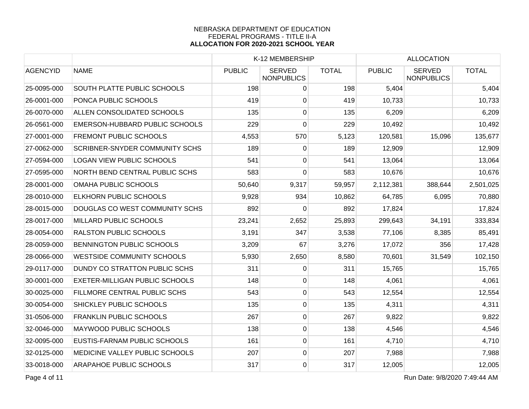|                 |                                       |               | K-12 MEMBERSHIP                    |              | <b>ALLOCATION</b> |                                    |              |
|-----------------|---------------------------------------|---------------|------------------------------------|--------------|-------------------|------------------------------------|--------------|
| <b>AGENCYID</b> | <b>NAME</b>                           | <b>PUBLIC</b> | <b>SERVED</b><br><b>NONPUBLICS</b> | <b>TOTAL</b> | <b>PUBLIC</b>     | <b>SERVED</b><br><b>NONPUBLICS</b> | <b>TOTAL</b> |
| 25-0095-000     | SOUTH PLATTE PUBLIC SCHOOLS           | 198           | 0                                  | 198          | 5,404             |                                    | 5,404        |
| 26-0001-000     | PONCA PUBLIC SCHOOLS                  | 419           | 0                                  | 419          | 10,733            |                                    | 10,733       |
| 26-0070-000     | ALLEN CONSOLIDATED SCHOOLS            | 135           | $\overline{0}$                     | 135          | 6,209             |                                    | 6,209        |
| 26-0561-000     | EMERSON-HUBBARD PUBLIC SCHOOLS        | 229           | 0                                  | 229          | 10,492            |                                    | 10,492       |
| 27-0001-000     | <b>FREMONT PUBLIC SCHOOLS</b>         | 4,553         | 570                                | 5,123        | 120,581           | 15,096                             | 135,677      |
| 27-0062-000     | <b>SCRIBNER-SNYDER COMMUNITY SCHS</b> | 189           | 0                                  | 189          | 12,909            |                                    | 12,909       |
| 27-0594-000     | <b>LOGAN VIEW PUBLIC SCHOOLS</b>      | 541           | 0                                  | 541          | 13,064            |                                    | 13,064       |
| 27-0595-000     | NORTH BEND CENTRAL PUBLIC SCHS        | 583           | $\overline{0}$                     | 583          | 10,676            |                                    | 10,676       |
| 28-0001-000     | OMAHA PUBLIC SCHOOLS                  | 50,640        | 9,317                              | 59,957       | 2,112,381         | 388,644                            | 2,501,025    |
| 28-0010-000     | <b>ELKHORN PUBLIC SCHOOLS</b>         | 9,928         | 934                                | 10,862       | 64,785            | 6,095                              | 70,880       |
| 28-0015-000     | DOUGLAS CO WEST COMMUNITY SCHS        | 892           | 0                                  | 892          | 17,824            |                                    | 17,824       |
| 28-0017-000     | MILLARD PUBLIC SCHOOLS                | 23,241        | 2,652                              | 25,893       | 299,643           | 34,191                             | 333,834      |
| 28-0054-000     | <b>RALSTON PUBLIC SCHOOLS</b>         | 3,191         | 347                                | 3,538        | 77,106            | 8,385                              | 85,491       |
| 28-0059-000     | BENNINGTON PUBLIC SCHOOLS             | 3,209         | 67                                 | 3,276        | 17,072            | 356                                | 17,428       |
| 28-0066-000     | <b>WESTSIDE COMMUNITY SCHOOLS</b>     | 5,930         | 2,650                              | 8,580        | 70,601            | 31,549                             | 102,150      |
| 29-0117-000     | DUNDY CO STRATTON PUBLIC SCHS         | 311           | 0                                  | 311          | 15,765            |                                    | 15,765       |
| 30-0001-000     | <b>EXETER-MILLIGAN PUBLIC SCHOOLS</b> | 148           | 0                                  | 148          | 4,061             |                                    | 4,061        |
| 30-0025-000     | FILLMORE CENTRAL PUBLIC SCHS          | 543           | $\overline{0}$                     | 543          | 12,554            |                                    | 12,554       |
| 30-0054-000     | SHICKLEY PUBLIC SCHOOLS               | 135           | 0                                  | 135          | 4,311             |                                    | 4,311        |
| 31-0506-000     | <b>FRANKLIN PUBLIC SCHOOLS</b>        | 267           | 0                                  | 267          | 9,822             |                                    | 9,822        |
| 32-0046-000     | <b>MAYWOOD PUBLIC SCHOOLS</b>         | 138           | 0                                  | 138          | 4,546             |                                    | 4,546        |
| 32-0095-000     | EUSTIS-FARNAM PUBLIC SCHOOLS          | 161           | 0                                  | 161          | 4,710             |                                    | 4,710        |
| 32-0125-000     | MEDICINE VALLEY PUBLIC SCHOOLS        | 207           | 0                                  | 207          | 7,988             |                                    | 7,988        |
| 33-0018-000     | <b>ARAPAHOE PUBLIC SCHOOLS</b>        | 317           | $\overline{0}$                     | 317          | 12,005            |                                    | 12,005       |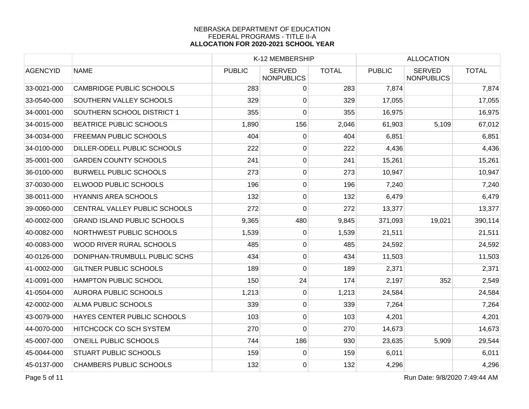|                 |                                    | K-12 MEMBERSHIP |                                    |              | <b>ALLOCATION</b> |                                    |              |
|-----------------|------------------------------------|-----------------|------------------------------------|--------------|-------------------|------------------------------------|--------------|
| <b>AGENCYID</b> | <b>NAME</b>                        | <b>PUBLIC</b>   | <b>SERVED</b><br><b>NONPUBLICS</b> | <b>TOTAL</b> | <b>PUBLIC</b>     | <b>SERVED</b><br><b>NONPUBLICS</b> | <b>TOTAL</b> |
| 33-0021-000     | <b>CAMBRIDGE PUBLIC SCHOOLS</b>    | 283             | $\overline{0}$                     | 283          | 7,874             |                                    | 7,874        |
| 33-0540-000     | <b>SOUTHERN VALLEY SCHOOLS</b>     | 329             | $\overline{0}$                     | 329          | 17,055            |                                    | 17,055       |
| 34-0001-000     | SOUTHERN SCHOOL DISTRICT 1         | 355             | 0                                  | 355          | 16,975            |                                    | 16,975       |
| 34-0015-000     | <b>BEATRICE PUBLIC SCHOOLS</b>     | 1,890           | 156                                | 2,046        | 61,903            | 5,109                              | 67,012       |
| 34-0034-000     | <b>FREEMAN PUBLIC SCHOOLS</b>      | 404             | 0                                  | 404          | 6,851             |                                    | 6,851        |
| 34-0100-000     | DILLER-ODELL PUBLIC SCHOOLS        | 222             | $\overline{0}$                     | 222          | 4,436             |                                    | 4,436        |
| 35-0001-000     | <b>GARDEN COUNTY SCHOOLS</b>       | 241             | $\overline{0}$                     | 241          | 15,261            |                                    | 15,261       |
| 36-0100-000     | <b>BURWELL PUBLIC SCHOOLS</b>      | 273             | $\overline{0}$                     | 273          | 10,947            |                                    | 10,947       |
| 37-0030-000     | <b>ELWOOD PUBLIC SCHOOLS</b>       | 196             | $\overline{0}$                     | 196          | 7,240             |                                    | 7,240        |
| 38-0011-000     | <b>HYANNIS AREA SCHOOLS</b>        | 132             | $\overline{0}$                     | 132          | 6,479             |                                    | 6,479        |
| 39-0060-000     | CENTRAL VALLEY PUBLIC SCHOOLS      | 272             | 0                                  | 272          | 13,377            |                                    | 13,377       |
| 40-0002-000     | <b>GRAND ISLAND PUBLIC SCHOOLS</b> | 9,365           | 480                                | 9,845        | 371,093           | 19,021                             | 390,114      |
| 40-0082-000     | NORTHWEST PUBLIC SCHOOLS           | 1,539           | $\overline{0}$                     | 1,539        | 21,511            |                                    | 21,511       |
| 40-0083-000     | <b>WOOD RIVER RURAL SCHOOLS</b>    | 485             | $\overline{0}$                     | 485          | 24,592            |                                    | 24,592       |
| 40-0126-000     | DONIPHAN-TRUMBULL PUBLIC SCHS      | 434             | $\overline{0}$                     | 434          | 11,503            |                                    | 11,503       |
| 41-0002-000     | <b>GILTNER PUBLIC SCHOOLS</b>      | 189             | 0                                  | 189          | 2,371             |                                    | 2,371        |
| 41-0091-000     | HAMPTON PUBLIC SCHOOL              | 150             | 24                                 | 174          | 2,197             | 352                                | 2,549        |
| 41-0504-000     | <b>AURORA PUBLIC SCHOOLS</b>       | 1,213           | $\overline{0}$                     | 1,213        | 24,584            |                                    | 24,584       |
| 42-0002-000     | <b>ALMA PUBLIC SCHOOLS</b>         | 339             | $\overline{0}$                     | 339          | 7,264             |                                    | 7,264        |
| 43-0079-000     | HAYES CENTER PUBLIC SCHOOLS        | 103             | $\overline{0}$                     | 103          | 4,201             |                                    | 4,201        |
| 44-0070-000     | <b>HITCHCOCK CO SCH SYSTEM</b>     | 270             | 0                                  | 270          | 14,673            |                                    | 14,673       |
| 45-0007-000     | O'NEILL PUBLIC SCHOOLS             | 744             | 186                                | 930          | 23,635            | 5,909                              | 29,544       |
| 45-0044-000     | <b>STUART PUBLIC SCHOOLS</b>       | 159             | 0                                  | 159          | 6,011             |                                    | 6,011        |
| 45-0137-000     | <b>CHAMBERS PUBLIC SCHOOLS</b>     | 132             | $\overline{0}$                     | 132          | 4,296             |                                    | 4,296        |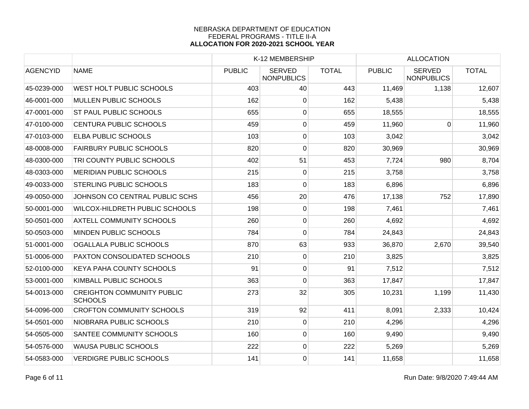|                 |                                                     |               | K-12 MEMBERSHIP                    |              |               | <b>ALLOCATION</b>                  |              |  |
|-----------------|-----------------------------------------------------|---------------|------------------------------------|--------------|---------------|------------------------------------|--------------|--|
| <b>AGENCYID</b> | <b>NAME</b>                                         | <b>PUBLIC</b> | <b>SERVED</b><br><b>NONPUBLICS</b> | <b>TOTAL</b> | <b>PUBLIC</b> | <b>SERVED</b><br><b>NONPUBLICS</b> | <b>TOTAL</b> |  |
| 45-0239-000     | WEST HOLT PUBLIC SCHOOLS                            | 403           | 40                                 | 443          | 11,469        | 1,138                              | 12,607       |  |
| 46-0001-000     | <b>MULLEN PUBLIC SCHOOLS</b>                        | 162           | 0                                  | 162          | 5,438         |                                    | 5,438        |  |
| 47-0001-000     | <b>ST PAUL PUBLIC SCHOOLS</b>                       | 655           | $\overline{0}$                     | 655          | 18,555        |                                    | 18,555       |  |
| 47-0100-000     | <b>CENTURA PUBLIC SCHOOLS</b>                       | 459           | $\overline{0}$                     | 459          | 11,960        | $\overline{0}$                     | 11,960       |  |
| 47-0103-000     | <b>ELBA PUBLIC SCHOOLS</b>                          | 103           | $\overline{0}$                     | 103          | 3,042         |                                    | 3,042        |  |
| 48-0008-000     | <b>FAIRBURY PUBLIC SCHOOLS</b>                      | 820           | $\pmb{0}$                          | 820          | 30,969        |                                    | 30,969       |  |
| 48-0300-000     | TRI COUNTY PUBLIC SCHOOLS                           | 402           | 51                                 | 453          | 7,724         | 980                                | 8,704        |  |
| 48-0303-000     | <b>MERIDIAN PUBLIC SCHOOLS</b>                      | 215           | $\mathbf 0$                        | 215          | 3,758         |                                    | 3,758        |  |
| 49-0033-000     | <b>STERLING PUBLIC SCHOOLS</b>                      | 183           | $\mathbf 0$                        | 183          | 6,896         |                                    | 6,896        |  |
| 49-0050-000     | JOHNSON CO CENTRAL PUBLIC SCHS                      | 456           | 20                                 | 476          | 17,138        | 752                                | 17,890       |  |
| 50-0001-000     | WILCOX-HILDRETH PUBLIC SCHOOLS                      | 198           | 0                                  | 198          | 7,461         |                                    | 7,461        |  |
| 50-0501-000     | <b>AXTELL COMMUNITY SCHOOLS</b>                     | 260           | $\mathbf 0$                        | 260          | 4,692         |                                    | 4,692        |  |
| 50-0503-000     | MINDEN PUBLIC SCHOOLS                               | 784           | $\mathbf 0$                        | 784          | 24,843        |                                    | 24,843       |  |
| 51-0001-000     | OGALLALA PUBLIC SCHOOLS                             | 870           | 63                                 | 933          | 36,870        | 2,670                              | 39,540       |  |
| 51-0006-000     | PAXTON CONSOLIDATED SCHOOLS                         | 210           | $\pmb{0}$                          | 210          | 3,825         |                                    | 3,825        |  |
| 52-0100-000     | <b>KEYA PAHA COUNTY SCHOOLS</b>                     | 91            | $\mathbf 0$                        | 91           | 7,512         |                                    | 7,512        |  |
| 53-0001-000     | KIMBALL PUBLIC SCHOOLS                              | 363           | $\mathbf 0$                        | 363          | 17,847        |                                    | 17,847       |  |
| 54-0013-000     | <b>CREIGHTON COMMUNITY PUBLIC</b><br><b>SCHOOLS</b> | 273           | 32                                 | 305          | 10,231        | 1,199                              | 11,430       |  |
| 54-0096-000     | <b>CROFTON COMMUNITY SCHOOLS</b>                    | 319           | 92                                 | 411          | 8,091         | 2,333                              | 10,424       |  |
| 54-0501-000     | NIOBRARA PUBLIC SCHOOLS                             | 210           | 0                                  | 210          | 4,296         |                                    | 4,296        |  |
| 54-0505-000     | SANTEE COMMUNITY SCHOOLS                            | 160           | $\mathbf 0$                        | 160          | 9,490         |                                    | 9,490        |  |
| 54-0576-000     | <b>WAUSA PUBLIC SCHOOLS</b>                         | 222           | $\pmb{0}$                          | 222          | 5,269         |                                    | 5,269        |  |
| 54-0583-000     | <b>VERDIGRE PUBLIC SCHOOLS</b>                      | 141           | $\pmb{0}$                          | 141          | 11,658        |                                    | 11,658       |  |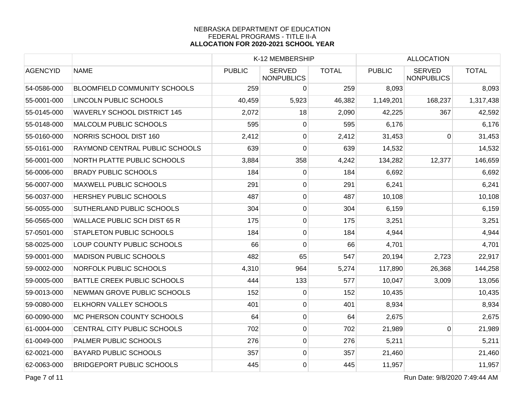|                                     |               |                                    |              |                                     | <b>ALLOCATION</b>                  |                           |
|-------------------------------------|---------------|------------------------------------|--------------|-------------------------------------|------------------------------------|---------------------------|
| <b>NAME</b>                         | <b>PUBLIC</b> | <b>SERVED</b><br><b>NONPUBLICS</b> | <b>TOTAL</b> | <b>PUBLIC</b>                       | <b>SERVED</b><br><b>NONPUBLICS</b> | <b>TOTAL</b>              |
| <b>BLOOMFIELD COMMUNITY SCHOOLS</b> | 259           | $\overline{0}$                     | 259          | 8,093                               |                                    | 8,093                     |
| <b>LINCOLN PUBLIC SCHOOLS</b>       | 40,459        | 5,923                              | 46,382       | 1,149,201                           | 168,237                            | 1,317,438                 |
| <b>WAVERLY SCHOOL DISTRICT 145</b>  | 2,072         | 18                                 | 2,090        | 42,225                              | 367                                | 42,592                    |
| <b>MALCOLM PUBLIC SCHOOLS</b>       | 595           | 0                                  | 595          | 6,176                               |                                    | 6,176                     |
| NORRIS SCHOOL DIST 160              | 2,412         | 0                                  | 2,412        | 31,453                              | $\Omega$                           | 31,453                    |
| RAYMOND CENTRAL PUBLIC SCHOOLS      | 639           | 0                                  | 639          | 14,532                              |                                    | 14,532                    |
| NORTH PLATTE PUBLIC SCHOOLS         | 3,884         | 358                                | 4,242        | 134,282                             | 12,377                             | 146,659                   |
| <b>BRADY PUBLIC SCHOOLS</b>         | 184           | $\overline{0}$                     | 184          | 6,692                               |                                    | 6,692                     |
| <b>MAXWELL PUBLIC SCHOOLS</b>       | 291           | $\overline{0}$                     | 291          | 6,241                               |                                    | 6,241                     |
| HERSHEY PUBLIC SCHOOLS              | 487           | $\overline{0}$                     | 487          | 10,108                              |                                    | 10,108                    |
| SUTHERLAND PUBLIC SCHOOLS           | 304           | $\pmb{0}$                          | 304          | 6,159                               |                                    | 6,159                     |
| <b>WALLACE PUBLIC SCH DIST 65 R</b> | 175           | $\overline{0}$                     |              | 3,251                               |                                    | 3,251                     |
| <b>STAPLETON PUBLIC SCHOOLS</b>     | 184           | $\overline{0}$                     | 184          | 4,944                               |                                    | 4,944                     |
| LOUP COUNTY PUBLIC SCHOOLS          | 66            | 0                                  |              | 4,701                               |                                    | 4,701                     |
| <b>MADISON PUBLIC SCHOOLS</b>       | 482           | 65                                 | 547          | 20,194                              | 2,723                              | 22,917                    |
| <b>NORFOLK PUBLIC SCHOOLS</b>       | 4,310         | 964                                | 5,274        | 117,890                             | 26,368                             | 144,258                   |
| <b>BATTLE CREEK PUBLIC SCHOOLS</b>  | 444           | 133                                | 577          | 10,047                              | 3,009                              | 13,056                    |
| NEWMAN GROVE PUBLIC SCHOOLS         | 152           | $\overline{0}$                     | 152          |                                     |                                    | 10,435                    |
| <b>ELKHORN VALLEY SCHOOLS</b>       | 401           | $\overline{0}$                     | 401          | 8,934                               |                                    | 8,934                     |
| MC PHERSON COUNTY SCHOOLS           | 64            | $\overline{0}$                     | 64           |                                     |                                    | 2,675                     |
| CENTRAL CITY PUBLIC SCHOOLS         | 702           | $\overline{0}$                     | 702          | 21,989                              | $\Omega$                           | 21,989                    |
| <b>PALMER PUBLIC SCHOOLS</b>        |               | $\overline{0}$                     |              | 5,211                               |                                    | 5,211                     |
| <b>BAYARD PUBLIC SCHOOLS</b>        | 357           | $\pmb{0}$                          | 357          |                                     |                                    | 21,460                    |
| <b>BRIDGEPORT PUBLIC SCHOOLS</b>    | 445           | $\overline{0}$                     | 445          | 11,957                              |                                    | 11,957                    |
|                                     |               |                                    | 276          | K-12 MEMBERSHIP<br>175<br>66<br>276 |                                    | 10,435<br>2,675<br>21,460 |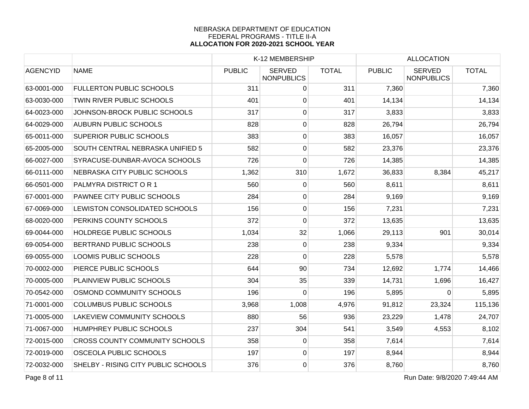| <b>AGENCYID</b><br><b>NAME</b><br><b>FULLERTON PUBLIC SCHOOLS</b><br>63-0001-000<br>TWIN RIVER PUBLIC SCHOOLS<br>63-0030-000 | JOHNSON-BROCK PUBLIC SCHOOLS            | <b>PUBLIC</b><br>311<br>401<br>317 | <b>SERVED</b><br><b>NONPUBLICS</b><br>$\overline{0}$<br>$\overline{0}$<br>$\overline{0}$ | <b>TOTAL</b><br>311<br>401 | <b>PUBLIC</b><br>7,360 | <b>SERVED</b><br><b>NONPUBLICS</b> | <b>TOTAL</b><br>7,360 |
|------------------------------------------------------------------------------------------------------------------------------|-----------------------------------------|------------------------------------|------------------------------------------------------------------------------------------|----------------------------|------------------------|------------------------------------|-----------------------|
|                                                                                                                              |                                         |                                    |                                                                                          |                            |                        |                                    |                       |
|                                                                                                                              |                                         |                                    |                                                                                          |                            |                        |                                    |                       |
|                                                                                                                              |                                         |                                    |                                                                                          |                            | 14,134                 |                                    | 14,134                |
| 64-0023-000                                                                                                                  |                                         |                                    |                                                                                          | 317                        | 3,833                  |                                    | 3,833                 |
| <b>AUBURN PUBLIC SCHOOLS</b><br>64-0029-000                                                                                  |                                         | 828                                | $\overline{0}$                                                                           | 828                        | 26,794                 |                                    | 26,794                |
| <b>SUPERIOR PUBLIC SCHOOLS</b><br>65-0011-000                                                                                |                                         | 383                                | 0                                                                                        | 383                        | 16,057                 |                                    | 16,057                |
| 65-2005-000                                                                                                                  | <b>SOUTH CENTRAL NEBRASKA UNIFIED 5</b> | 582                                | $\overline{0}$                                                                           | 582                        | 23,376                 |                                    | 23,376                |
| 66-0027-000                                                                                                                  | SYRACUSE-DUNBAR-AVOCA SCHOOLS           | 726                                | $\overline{0}$                                                                           | 726                        | 14,385                 |                                    | 14,385                |
| 66-0111-000                                                                                                                  | NEBRASKA CITY PUBLIC SCHOOLS            | 1,362                              | 310                                                                                      | 1,672                      | 36,833                 | 8,384                              | 45,217                |
| 66-0501-000<br>PALMYRA DISTRICT OR 1                                                                                         |                                         | 560                                | 0                                                                                        | 560                        | 8,611                  |                                    | 8,611                 |
| 67-0001-000                                                                                                                  | PAWNEE CITY PUBLIC SCHOOLS              | 284                                | $\overline{0}$                                                                           | 284                        | 9,169                  |                                    | 9,169                 |
| 67-0069-000                                                                                                                  | LEWISTON CONSOLIDATED SCHOOLS           | 156                                | $\pmb{0}$                                                                                | 156                        | 7,231                  |                                    | 7,231                 |
| PERKINS COUNTY SCHOOLS<br>68-0020-000                                                                                        |                                         | 372                                | $\overline{0}$                                                                           | 372                        | 13,635                 |                                    | 13,635                |
| <b>HOLDREGE PUBLIC SCHOOLS</b><br>69-0044-000                                                                                |                                         | 1,034                              | 32                                                                                       | 1,066                      | 29,113                 | 901                                | 30,014                |
| 69-0054-000<br>BERTRAND PUBLIC SCHOOLS                                                                                       |                                         | 238                                | $\overline{0}$                                                                           | 238                        | 9,334                  |                                    | 9,334                 |
| 69-0055-000<br><b>LOOMIS PUBLIC SCHOOLS</b>                                                                                  |                                         | 228                                | 0                                                                                        | 228                        | 5,578                  |                                    | 5,578                 |
| 70-0002-000<br>PIERCE PUBLIC SCHOOLS                                                                                         |                                         | 644                                | 90                                                                                       | 734                        | 12,692                 | 1,774                              | 14,466                |
| PLAINVIEW PUBLIC SCHOOLS<br>70-0005-000                                                                                      |                                         | 304                                | 35                                                                                       | 339                        | 14,731                 | 1,696                              | 16,427                |
| 70-0542-000                                                                                                                  | OSMOND COMMUNITY SCHOOLS                | 196                                | $\overline{0}$                                                                           | 196                        | 5,895                  | $\Omega$                           | 5,895                 |
| <b>COLUMBUS PUBLIC SCHOOLS</b><br>71-0001-000                                                                                |                                         | 3,968                              | 1,008                                                                                    | 4,976                      | 91,812                 | 23,324                             | 115,136               |
| 71-0005-000                                                                                                                  | <b>LAKEVIEW COMMUNITY SCHOOLS</b>       | 880                                | 56                                                                                       | 936                        | 23,229                 | 1,478                              | 24,707                |
| 71-0067-000<br>HUMPHREY PUBLIC SCHOOLS                                                                                       |                                         | 237                                | 304                                                                                      | 541                        | 3,549                  | 4,553                              | 8,102                 |
| 72-0015-000                                                                                                                  | <b>CROSS COUNTY COMMUNITY SCHOOLS</b>   | 358                                | 0                                                                                        | 358                        | 7,614                  |                                    | 7,614                 |
| <b>OSCEOLA PUBLIC SCHOOLS</b><br>72-0019-000                                                                                 |                                         | 197                                | $\overline{0}$                                                                           | 197                        | 8,944                  |                                    | 8,944                 |
| 72-0032-000                                                                                                                  | SHELBY - RISING CITY PUBLIC SCHOOLS     | 376                                | $\overline{0}$                                                                           | 376                        | 8,760                  |                                    | 8,760                 |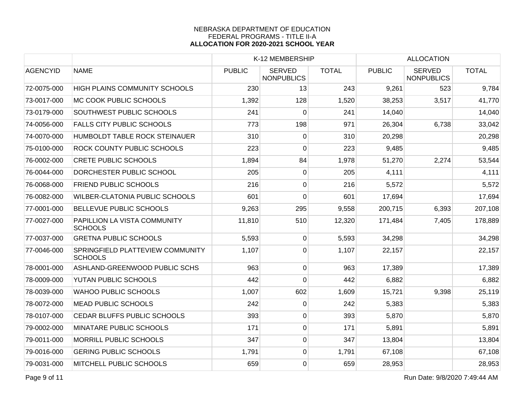|                 |                                                    |               | K-12 MEMBERSHIP                    |              |               | <b>ALLOCATION</b>                  |              |
|-----------------|----------------------------------------------------|---------------|------------------------------------|--------------|---------------|------------------------------------|--------------|
| <b>AGENCYID</b> | <b>NAME</b>                                        | <b>PUBLIC</b> | <b>SERVED</b><br><b>NONPUBLICS</b> | <b>TOTAL</b> | <b>PUBLIC</b> | <b>SERVED</b><br><b>NONPUBLICS</b> | <b>TOTAL</b> |
| 72-0075-000     | <b>HIGH PLAINS COMMUNITY SCHOOLS</b>               | 230           | 13                                 | 243          | 9,261         | 523                                | 9,784        |
| 73-0017-000     | MC COOK PUBLIC SCHOOLS                             | 1,392         | 128                                | 1,520        | 38,253        | 3,517                              | 41,770       |
| 73-0179-000     | SOUTHWEST PUBLIC SCHOOLS                           | 241           | $\mathbf 0$                        | 241          | 14,040        |                                    | 14,040       |
| 74-0056-000     | <b>FALLS CITY PUBLIC SCHOOLS</b>                   | 773           | 198                                | 971          | 26,304        | 6,738                              | 33,042       |
| 74-0070-000     | HUMBOLDT TABLE ROCK STEINAUER                      | 310           | 0                                  | 310          | 20,298        |                                    | 20,298       |
| 75-0100-000     | ROCK COUNTY PUBLIC SCHOOLS                         | 223           | 0                                  | 223          | 9,485         |                                    | 9,485        |
| 76-0002-000     | <b>CRETE PUBLIC SCHOOLS</b>                        | 1,894         | 84                                 | 1,978        | 51,270        | 2,274                              | 53,544       |
| 76-0044-000     | DORCHESTER PUBLIC SCHOOL                           | 205           | $\overline{0}$                     | 205          | 4,111         |                                    | 4,111        |
| 76-0068-000     | <b>FRIEND PUBLIC SCHOOLS</b>                       | 216           | 0                                  | 216          | 5,572         |                                    | 5,572        |
| 76-0082-000     | <b>WILBER-CLATONIA PUBLIC SCHOOLS</b>              | 601           | 0                                  | 601          | 17,694        |                                    | 17,694       |
| 77-0001-000     | <b>BELLEVUE PUBLIC SCHOOLS</b>                     | 9,263         | 295                                | 9,558        | 200,715       | 6,393                              | 207,108      |
| 77-0027-000     | PAPILLION LA VISTA COMMUNITY<br><b>SCHOOLS</b>     | 11,810        | 510                                | 12,320       | 171,484       | 7,405                              | 178,889      |
| 77-0037-000     | <b>GRETNA PUBLIC SCHOOLS</b>                       | 5,593         | $\overline{0}$                     | 5,593        | 34,298        |                                    | 34,298       |
| 77-0046-000     | SPRINGFIELD PLATTEVIEW COMMUNITY<br><b>SCHOOLS</b> | 1,107         | 0                                  | 1,107        | 22,157        |                                    | 22,157       |
| 78-0001-000     | ASHLAND-GREENWOOD PUBLIC SCHS                      | 963           | $\overline{0}$                     | 963          | 17,389        |                                    | 17,389       |
| 78-0009-000     | YUTAN PUBLIC SCHOOLS                               | 442           | 0                                  | 442          | 6,882         |                                    | 6,882        |
| 78-0039-000     | <b>WAHOO PUBLIC SCHOOLS</b>                        | 1,007         | 602                                | 1,609        | 15,721        | 9,398                              | 25,119       |
| 78-0072-000     | <b>MEAD PUBLIC SCHOOLS</b>                         | 242           | $\overline{0}$                     | 242          | 5,383         |                                    | 5,383        |
| 78-0107-000     | CEDAR BLUFFS PUBLIC SCHOOLS                        | 393           | 0                                  | 393          | 5,870         |                                    | 5,870        |
| 79-0002-000     | MINATARE PUBLIC SCHOOLS                            | 171           | 0                                  | 171          | 5,891         |                                    | 5,891        |
| 79-0011-000     | <b>MORRILL PUBLIC SCHOOLS</b>                      | 347           | 0                                  | 347          | 13,804        |                                    | 13,804       |
| 79-0016-000     | <b>GERING PUBLIC SCHOOLS</b>                       | 1,791         | $\overline{0}$                     | 1,791        | 67,108        |                                    | 67,108       |
| 79-0031-000     | MITCHELL PUBLIC SCHOOLS                            | 659           | $\overline{0}$                     | 659          | 28,953        |                                    | 28,953       |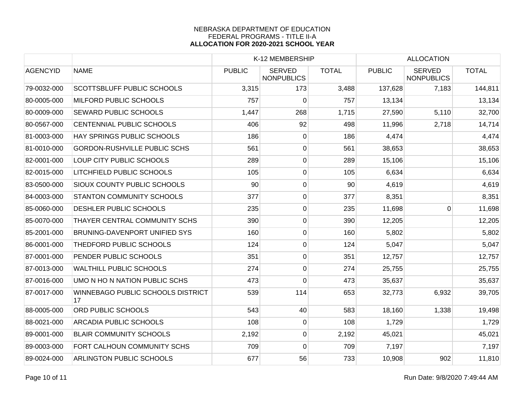|                 |                                         | K-12 MEMBERSHIP |                                    |              | <b>ALLOCATION</b> |                                    |              |
|-----------------|-----------------------------------------|-----------------|------------------------------------|--------------|-------------------|------------------------------------|--------------|
| <b>AGENCYID</b> | <b>NAME</b>                             | <b>PUBLIC</b>   | <b>SERVED</b><br><b>NONPUBLICS</b> | <b>TOTAL</b> | <b>PUBLIC</b>     | <b>SERVED</b><br><b>NONPUBLICS</b> | <b>TOTAL</b> |
| 79-0032-000     | <b>SCOTTSBLUFF PUBLIC SCHOOLS</b>       | 3,315           | 173                                | 3,488        | 137,628           | 7,183                              | 144,811      |
| 80-0005-000     | MILFORD PUBLIC SCHOOLS                  | 757             | 0                                  | 757          | 13,134            |                                    | 13,134       |
| 80-0009-000     | SEWARD PUBLIC SCHOOLS                   | 1,447           | 268                                | 1,715        | 27,590            | 5,110                              | 32,700       |
| 80-0567-000     | <b>CENTENNIAL PUBLIC SCHOOLS</b>        | 406             | 92                                 | 498          | 11,996            | 2,718                              | 14,714       |
| 81-0003-000     | HAY SPRINGS PUBLIC SCHOOLS              | 186             | $\overline{0}$                     | 186          | 4,474             |                                    | 4,474        |
| 81-0010-000     | <b>GORDON-RUSHVILLE PUBLIC SCHS</b>     | 561             | 0                                  | 561          | 38,653            |                                    | 38,653       |
| 82-0001-000     | LOUP CITY PUBLIC SCHOOLS                | 289             | 0                                  | 289          | 15,106            |                                    | 15,106       |
| 82-0015-000     | LITCHFIELD PUBLIC SCHOOLS               | 105             | 0                                  | 105          | 6,634             |                                    | 6,634        |
| 83-0500-000     | <b>SIOUX COUNTY PUBLIC SCHOOLS</b>      | 90              | $\mathbf 0$                        | 90           | 4,619             |                                    | 4,619        |
| 84-0003-000     | <b>STANTON COMMUNITY SCHOOLS</b>        | 377             | 0                                  | 377          | 8,351             |                                    | 8,351        |
| 85-0060-000     | DESHLER PUBLIC SCHOOLS                  | 235             | 0                                  | 235          | 11,698            | 0                                  | 11,698       |
| 85-0070-000     | THAYER CENTRAL COMMUNITY SCHS           | 390             | $\overline{0}$                     | 390          | 12,205            |                                    | 12,205       |
| 85-2001-000     | <b>BRUNING-DAVENPORT UNIFIED SYS</b>    | 160             | $\overline{0}$                     | 160          | 5,802             |                                    | 5,802        |
| 86-0001-000     | THEDFORD PUBLIC SCHOOLS                 | 124             | $\overline{0}$                     | 124          | 5,047             |                                    | 5,047        |
| 87-0001-000     | PENDER PUBLIC SCHOOLS                   | 351             | 0                                  | 351          | 12,757            |                                    | 12,757       |
| 87-0013-000     | <b>WALTHILL PUBLIC SCHOOLS</b>          | 274             | 0                                  | 274          | 25,755            |                                    | 25,755       |
| 87-0016-000     | UMO N HO N NATION PUBLIC SCHS           | 473             | 0                                  | 473          | 35,637            |                                    | 35,637       |
| 87-0017-000     | WINNEBAGO PUBLIC SCHOOLS DISTRICT<br>17 | 539             | 114                                | 653          | 32,773            | 6,932                              | 39,705       |
| 88-0005-000     | <b>ORD PUBLIC SCHOOLS</b>               | 543             | 40                                 | 583          | 18,160            | 1,338                              | 19,498       |
| 88-0021-000     | <b>ARCADIA PUBLIC SCHOOLS</b>           | 108             | 0                                  | 108          | 1,729             |                                    | 1,729        |
| 89-0001-000     | <b>BLAIR COMMUNITY SCHOOLS</b>          | 2,192           | 0                                  | 2,192        | 45,021            |                                    | 45,021       |
| 89-0003-000     | FORT CALHOUN COMMUNITY SCHS             | 709             | $\mathbf 0$                        | 709          | 7,197             |                                    | 7,197        |
| 89-0024-000     | ARLINGTON PUBLIC SCHOOLS                | 677             | 56                                 | 733          | 10,908            | 902                                | 11,810       |